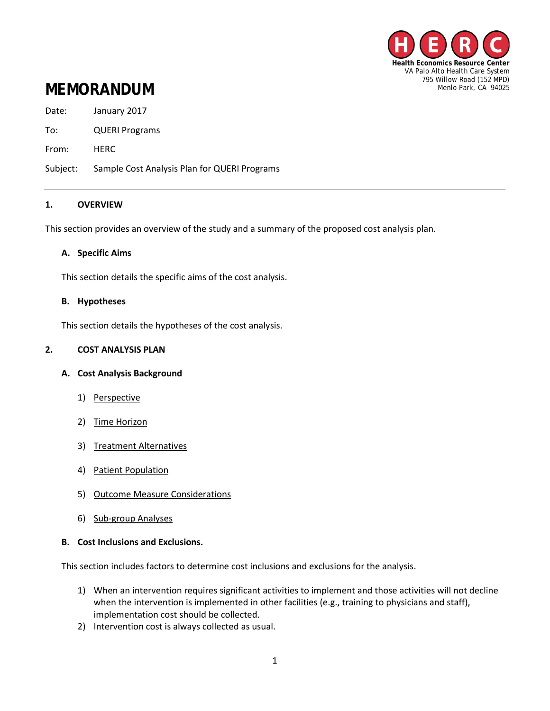

# **MEMORANDUM**

Date: January 2017

To: QUERI Programs

From: HERC

Subject: Sample Cost Analysis Plan for QUERI Programs

## **1. OVERVIEW**

This section provides an overview of the study and a summary of the proposed cost analysis plan.

## **A. Specific Aims**

This section details the specific aims of the cost analysis.

#### **B. Hypotheses**

This section details the hypotheses of the cost analysis.

## **2. COST ANALYSIS PLAN**

## **A. Cost Analysis Background**

- 1) Perspective
- 2) Time Horizon
- 3) Treatment Alternatives
- 4) Patient Population
- 5) Outcome Measure Considerations
- 6) Sub-group Analyses

## **B. Cost Inclusions and Exclusions.**

This section includes factors to determine cost inclusions and exclusions for the analysis.

- 1) When an intervention requires significant activities to implement and those activities will not decline when the intervention is implemented in other facilities (e.g., training to physicians and staff), implementation cost should be collected.
- 2) Intervention cost is always collected as usual.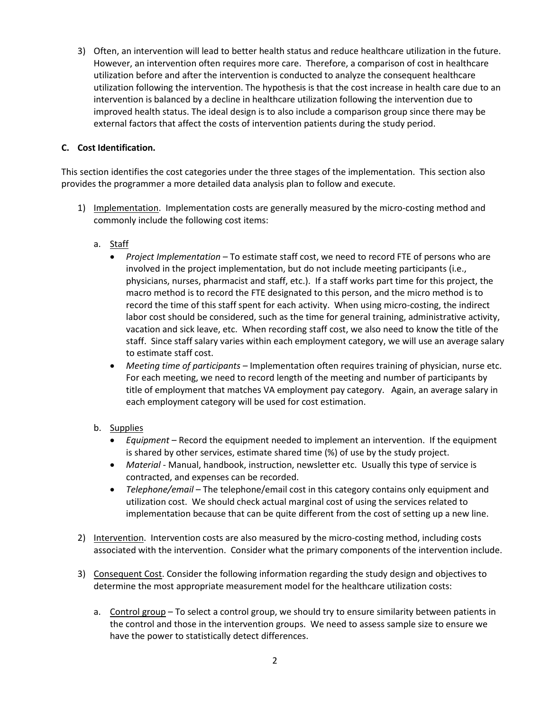3) Often, an intervention will lead to better health status and reduce healthcare utilization in the future. However, an intervention often requires more care. Therefore, a comparison of cost in healthcare utilization before and after the intervention is conducted to analyze the consequent healthcare utilization following the intervention. The hypothesis is that the cost increase in health care due to an intervention is balanced by a decline in healthcare utilization following the intervention due to improved health status. The ideal design is to also include a comparison group since there may be external factors that affect the costs of intervention patients during the study period.

## **C. Cost Identification.**

This section identifies the cost categories under the three stages of the implementation. This section also provides the programmer a more detailed data analysis plan to follow and execute.

- 1) Implementation. Implementation costs are generally measured by the micro-costing method and commonly include the following cost items:
	- a. Staff
		- *Project Implementation –* To estimate staff cost, we need to record FTE of persons who are involved in the project implementation, but do not include meeting participants (i.e., physicians, nurses, pharmacist and staff, etc.). If a staff works part time for this project, the macro method is to record the FTE designated to this person, and the micro method is to record the time of this staff spent for each activity. When using micro-costing, the indirect labor cost should be considered, such as the time for general training, administrative activity, vacation and sick leave, etc. When recording staff cost, we also need to know the title of the staff. Since staff salary varies within each employment category, we will use an average salary to estimate staff cost.
		- *Meeting time of participants* Implementation often requires training of physician, nurse etc. For each meeting, we need to record length of the meeting and number of participants by title of employment that matches VA employment pay category. Again, an average salary in each employment category will be used for cost estimation.
	- b. Supplies
		- *Equipment* Record the equipment needed to implement an intervention. If the equipment is shared by other services, estimate shared time (%) of use by the study project.
		- *Material* Manual, handbook, instruction, newsletter etc. Usually this type of service is contracted, and expenses can be recorded.
		- *Telephone/email* The telephone/email cost in this category contains only equipment and utilization cost. We should check actual marginal cost of using the services related to implementation because that can be quite different from the cost of setting up a new line.
- 2) Intervention. Intervention costs are also measured by the micro-costing method, including costs associated with the intervention. Consider what the primary components of the intervention include.
- 3) Consequent Cost. Consider the following information regarding the study design and objectives to determine the most appropriate measurement model for the healthcare utilization costs:
	- a. Control group To select a control group, we should try to ensure similarity between patients in the control and those in the intervention groups. We need to assess sample size to ensure we have the power to statistically detect differences.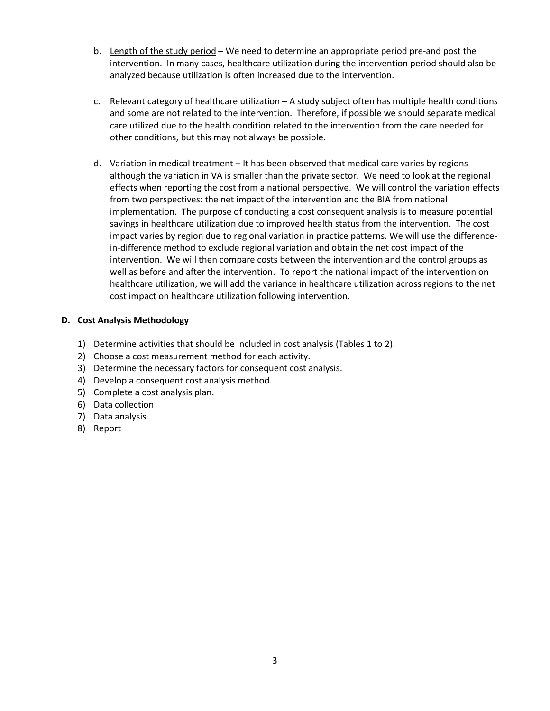- b. Length of the study period We need to determine an appropriate period pre-and post the intervention. In many cases, healthcare utilization during the intervention period should also be analyzed because utilization is often increased due to the intervention.
- c. Relevant category of healthcare utilization A study subject often has multiple health conditions and some are not related to the intervention. Therefore, if possible we should separate medical care utilized due to the health condition related to the intervention from the care needed for other conditions, but this may not always be possible.
- d. Variation in medical treatment It has been observed that medical care varies by regions although the variation in VA is smaller than the private sector. We need to look at the regional effects when reporting the cost from a national perspective. We will control the variation effects from two perspectives: the net impact of the intervention and the BIA from national implementation. The purpose of conducting a cost consequent analysis is to measure potential savings in healthcare utilization due to improved health status from the intervention. The cost impact varies by region due to regional variation in practice patterns. We will use the differencein-difference method to exclude regional variation and obtain the net cost impact of the intervention. We will then compare costs between the intervention and the control groups as well as before and after the intervention. To report the national impact of the intervention on healthcare utilization, we will add the variance in healthcare utilization across regions to the net cost impact on healthcare utilization following intervention.

## **D. Cost Analysis Methodology**

- 1) Determine activities that should be included in cost analysis (Tables 1 to 2).
- 2) Choose a cost measurement method for each activity.
- 3) Determine the necessary factors for consequent cost analysis.
- 4) Develop a consequent cost analysis method.
- 5) Complete a cost analysis plan.
- 6) Data collection
- 7) Data analysis
- 8) Report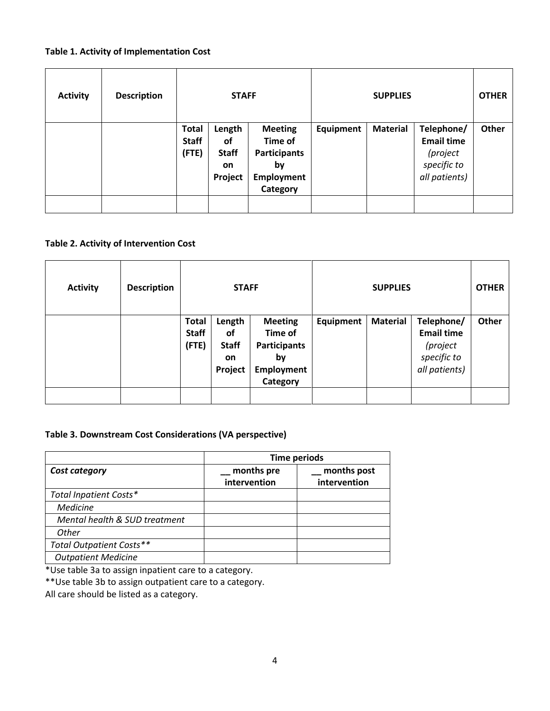# **Table 1. Activity of Implementation Cost**

| <b>Activity</b> | <b>Description</b> | <b>STAFF</b>                          |                                                             |                                                                                         | <b>SUPPLIES</b> |                 |                                                                             | <b>OTHER</b> |
|-----------------|--------------------|---------------------------------------|-------------------------------------------------------------|-----------------------------------------------------------------------------------------|-----------------|-----------------|-----------------------------------------------------------------------------|--------------|
|                 |                    | <b>Total</b><br><b>Staff</b><br>(FTE) | Length<br><b>of</b><br><b>Staff</b><br><b>on</b><br>Project | <b>Meeting</b><br>Time of<br><b>Participants</b><br>by<br><b>Employment</b><br>Category | Equipment       | <b>Material</b> | Telephone/<br><b>Email time</b><br>(project<br>specific to<br>all patients) | Other        |

# **Table 2. Activity of Intervention Cost**

| <b>Activity</b> | <b>Description</b> | <b>STAFF</b>                          |                                                      | <b>SUPPLIES</b>                                                                         |           |                 | <b>OTHER</b>                                                                |       |
|-----------------|--------------------|---------------------------------------|------------------------------------------------------|-----------------------------------------------------------------------------------------|-----------|-----------------|-----------------------------------------------------------------------------|-------|
|                 |                    | <b>Total</b><br><b>Staff</b><br>(FTE) | Length<br><b>of</b><br><b>Staff</b><br>on<br>Project | <b>Meeting</b><br>Time of<br><b>Participants</b><br>by<br><b>Employment</b><br>Category | Equipment | <b>Material</b> | Telephone/<br><b>Email time</b><br>(project<br>specific to<br>all patients) | Other |

## **Table 3. Downstream Cost Considerations (VA perspective)**

|                               | Time periods               |                             |  |  |
|-------------------------------|----------------------------|-----------------------------|--|--|
| Cost category                 | months pre<br>intervention | months post<br>intervention |  |  |
| Total Inpatient Costs*        |                            |                             |  |  |
| <b>Medicine</b>               |                            |                             |  |  |
| Mental health & SUD treatment |                            |                             |  |  |
| Other                         |                            |                             |  |  |
| Total Outpatient Costs**      |                            |                             |  |  |
| <b>Outpatient Medicine</b>    |                            |                             |  |  |

\*Use table 3a to assign inpatient care to a category.

\*\*Use table 3b to assign outpatient care to a category.

All care should be listed as a category.